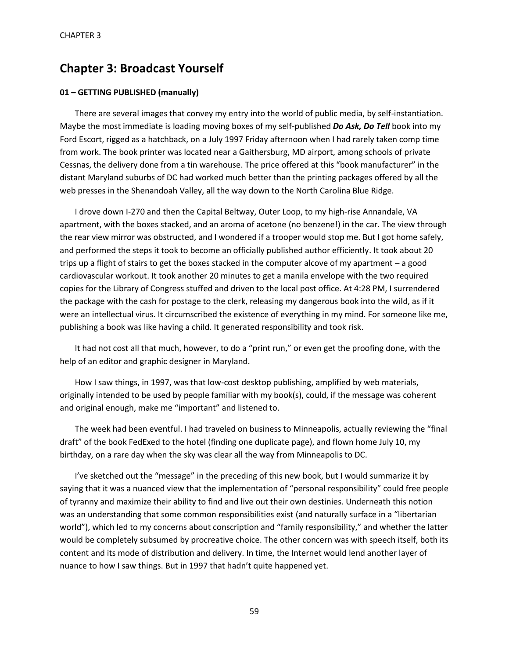# **Chapter 3: Broadcast Yourself**

## **01 – GETTING PUBLISHED (manually)**

There are several images that convey my entry into the world of public media, by self-instantiation. Maybe the most immediate is loading moving boxes of my self-published *Do Ask, Do Tell* book into my Ford Escort, rigged as a hatchback, on a July 1997 Friday afternoon when I had rarely taken comp time from work. The book printer was located near a Gaithersburg, MD airport, among schools of private Cessnas, the delivery done from a tin warehouse. The price offered at this "book manufacturer" in the distant Maryland suburbs of DC had worked much better than the printing packages offered by all the web presses in the Shenandoah Valley, all the way down to the North Carolina Blue Ridge.

I drove down I-270 and then the Capital Beltway, Outer Loop, to my high-rise Annandale, VA apartment, with the boxes stacked, and an aroma of acetone (no benzene!) in the car. The view through the rear view mirror was obstructed, and I wondered if a trooper would stop me. But I got home safely, and performed the steps it took to become an officially published author efficiently. It took about 20 trips up a flight of stairs to get the boxes stacked in the computer alcove of my apartment – a good cardiovascular workout. It took another 20 minutes to get a manila envelope with the two required copies for the Library of Congress stuffed and driven to the local post office. At 4:28 PM, I surrendered the package with the cash for postage to the clerk, releasing my dangerous book into the wild, as if it were an intellectual virus. It circumscribed the existence of everything in my mind. For someone like me, publishing a book was like having a child. It generated responsibility and took risk.

It had not cost all that much, however, to do a "print run," or even get the proofing done, with the help of an editor and graphic designer in Maryland.

How I saw things, in 1997, was that low-cost desktop publishing, amplified by web materials, originally intended to be used by people familiar with my book(s), could, if the message was coherent and original enough, make me "important" and listened to.

The week had been eventful. I had traveled on business to Minneapolis, actually reviewing the "final draft" of the book FedExed to the hotel (finding one duplicate page), and flown home July 10, my birthday, on a rare day when the sky was clear all the way from Minneapolis to DC.

I've sketched out the "message" in the preceding of this new book, but I would summarize it by saying that it was a nuanced view that the implementation of "personal responsibility" could free people of tyranny and maximize their ability to find and live out their own destinies. Underneath this notion was an understanding that some common responsibilities exist (and naturally surface in a "libertarian world"), which led to my concerns about conscription and "family responsibility," and whether the latter would be completely subsumed by procreative choice. The other concern was with speech itself, both its content and its mode of distribution and delivery. In time, the Internet would lend another layer of nuance to how I saw things. But in 1997 that hadn't quite happened yet.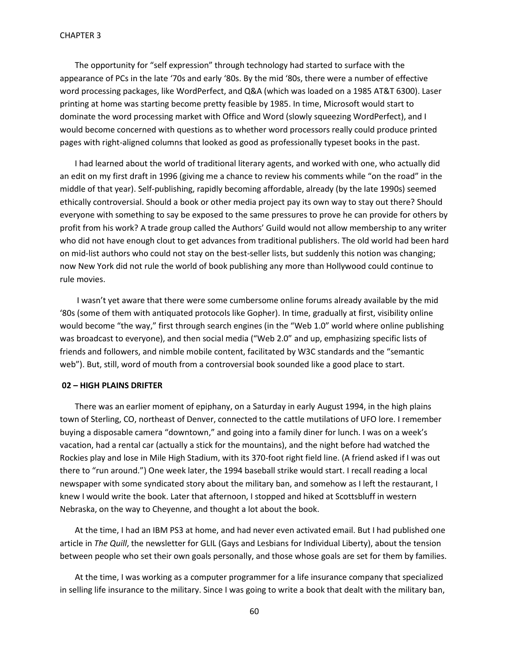The opportunity for "self expression" through technology had started to surface with the appearance of PCs in the late '70s and early '80s. By the mid '80s, there were a number of effective word processing packages, like WordPerfect, and Q&A (which was loaded on a 1985 AT&T 6300). Laser printing at home was starting become pretty feasible by 1985. In time, Microsoft would start to dominate the word processing market with Office and Word (slowly squeezing WordPerfect), and I would become concerned with questions as to whether word processors really could produce printed pages with right-aligned columns that looked as good as professionally typeset books in the past.

I had learned about the world of traditional literary agents, and worked with one, who actually did an edit on my first draft in 1996 (giving me a chance to review his comments while "on the road" in the middle of that year). Self-publishing, rapidly becoming affordable, already (by the late 1990s) seemed ethically controversial. Should a book or other media project pay its own way to stay out there? Should everyone with something to say be exposed to the same pressures to prove he can provide for others by profit from his work? A trade group called the Authors' Guild would not allow membership to any writer who did not have enough clout to get advances from traditional publishers. The old world had been hard on mid-list authors who could not stay on the best-seller lists, but suddenly this notion was changing; now New York did not rule the world of book publishing any more than Hollywood could continue to rule movies.

I wasn't yet aware that there were some cumbersome online forums already available by the mid '80s (some of them with antiquated protocols like Gopher). In time, gradually at first, visibility online would become "the way," first through search engines (in the "Web 1.0" world where online publishing was broadcast to everyone), and then social media ("Web 2.0" and up, emphasizing specific lists of friends and followers, and nimble mobile content, facilitated by W3C standards and the "semantic web"). But, still, word of mouth from a controversial book sounded like a good place to start.

#### **02 – HIGH PLAINS DRIFTER**

There was an earlier moment of epiphany, on a Saturday in early August 1994, in the high plains town of Sterling, CO, northeast of Denver, connected to the cattle mutilations of UFO lore. I remember buying a disposable camera "downtown," and going into a family diner for lunch. I was on a week's vacation, had a rental car (actually a stick for the mountains), and the night before had watched the Rockies play and lose in Mile High Stadium, with its 370-foot right field line. (A friend asked if I was out there to "run around.") One week later, the 1994 baseball strike would start. I recall reading a local newspaper with some syndicated story about the military ban, and somehow as I left the restaurant, I knew I would write the book. Later that afternoon, I stopped and hiked at Scottsbluff in western Nebraska, on the way to Cheyenne, and thought a lot about the book.

At the time, I had an IBM PS3 at home, and had never even activated email. But I had published one article in *The Quill*, the newsletter for GLIL (Gays and Lesbians for Individual Liberty), about the tension between people who set their own goals personally, and those whose goals are set for them by families.

At the time, I was working as a computer programmer for a life insurance company that specialized in selling life insurance to the military. Since I was going to write a book that dealt with the military ban,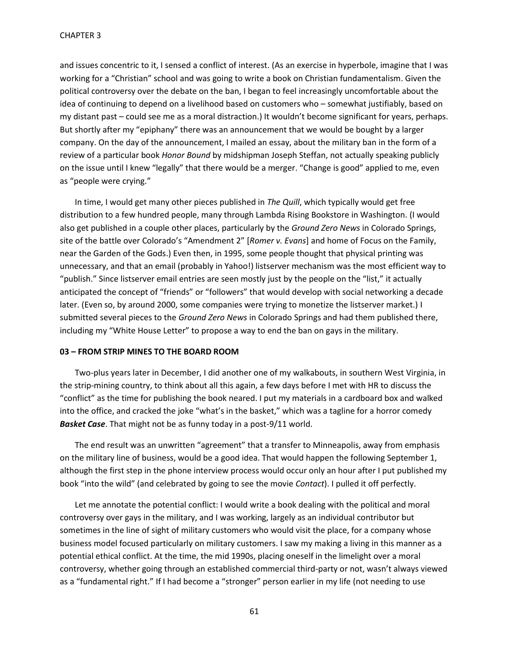and issues concentric to it, I sensed a conflict of interest. (As an exercise in hyperbole, imagine that I was working for a "Christian" school and was going to write a book on Christian fundamentalism. Given the political controversy over the debate on the ban, I began to feel increasingly uncomfortable about the idea of continuing to depend on a livelihood based on customers who – somewhat justifiably, based on my distant past – could see me as a moral distraction.) It wouldn't become significant for years, perhaps. But shortly after my "epiphany" there was an announcement that we would be bought by a larger company. On the day of the announcement, I mailed an essay, about the military ban in the form of a review of a particular book *Honor Bound* by midshipman Joseph Steffan, not actually speaking publicly on the issue until I knew "legally" that there would be a merger. "Change is good" applied to me, even as "people were crying."

In time, I would get many other pieces published in *The Quill*, which typically would get free distribution to a few hundred people, many through Lambda Rising Bookstore in Washington. (I would also get published in a couple other places, particularly by the *Ground Zero News* in Colorado Springs, site of the battle over Colorado's "Amendment 2" [*Romer v. Evans*] and home of Focus on the Family, near the Garden of the Gods.) Even then, in 1995, some people thought that physical printing was unnecessary, and that an email (probably in Yahoo!) listserver mechanism was the most efficient way to "publish." Since listserver email entries are seen mostly just by the people on the "list," it actually anticipated the concept of "friends" or "followers" that would develop with social networking a decade later. (Even so, by around 2000, some companies were trying to monetize the listserver market.) I submitted several pieces to the *Ground Zero News* in Colorado Springs and had them published there, including my "White House Letter" to propose a way to end the ban on gays in the military.

# **03 – FROM STRIP MINES TO THE BOARD ROOM**

Two-plus years later in December, I did another one of my walkabouts, in southern West Virginia, in the strip-mining country, to think about all this again, a few days before I met with HR to discuss the "conflict" as the time for publishing the book neared. I put my materials in a cardboard box and walked into the office, and cracked the joke "what's in the basket," which was a tagline for a horror comedy *Basket Case*. That might not be as funny today in a post-9/11 world.

The end result was an unwritten "agreement" that a transfer to Minneapolis, away from emphasis on the military line of business, would be a good idea. That would happen the following September 1, although the first step in the phone interview process would occur only an hour after I put published my book "into the wild" (and celebrated by going to see the movie *Contact*). I pulled it off perfectly.

Let me annotate the potential conflict: I would write a book dealing with the political and moral controversy over gays in the military, and I was working, largely as an individual contributor but sometimes in the line of sight of military customers who would visit the place, for a company whose business model focused particularly on military customers. I saw my making a living in this manner as a potential ethical conflict. At the time, the mid 1990s, placing oneself in the limelight over a moral controversy, whether going through an established commercial third-party or not, wasn't always viewed as a "fundamental right." If I had become a "stronger" person earlier in my life (not needing to use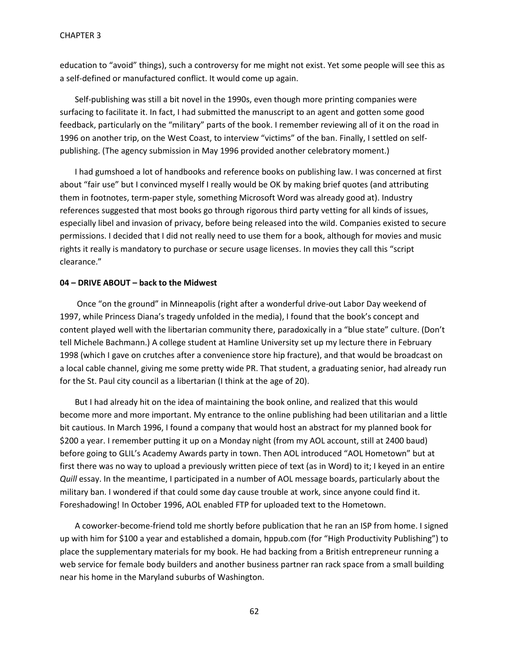education to "avoid" things), such a controversy for me might not exist. Yet some people will see this as a self-defined or manufactured conflict. It would come up again.

Self-publishing was still a bit novel in the 1990s, even though more printing companies were surfacing to facilitate it. In fact, I had submitted the manuscript to an agent and gotten some good feedback, particularly on the "military" parts of the book. I remember reviewing all of it on the road in 1996 on another trip, on the West Coast, to interview "victims" of the ban. Finally, I settled on selfpublishing. (The agency submission in May 1996 provided another celebratory moment.)

I had gumshoed a lot of handbooks and reference books on publishing law. I was concerned at first about "fair use" but I convinced myself I really would be OK by making brief quotes (and attributing them in footnotes, term-paper style, something Microsoft Word was already good at). Industry references suggested that most books go through rigorous third party vetting for all kinds of issues, especially libel and invasion of privacy, before being released into the wild. Companies existed to secure permissions. I decided that I did not really need to use them for a book, although for movies and music rights it really is mandatory to purchase or secure usage licenses. In movies they call this "script clearance."

### **04 – DRIVE ABOUT – back to the Midwest**

Once "on the ground" in Minneapolis (right after a wonderful drive-out Labor Day weekend of 1997, while Princess Diana's tragedy unfolded in the media), I found that the book's concept and content played well with the libertarian community there, paradoxically in a "blue state" culture. (Don't tell Michele Bachmann.) A college student at Hamline University set up my lecture there in February 1998 (which I gave on crutches after a convenience store hip fracture), and that would be broadcast on a local cable channel, giving me some pretty wide PR. That student, a graduating senior, had already run for the St. Paul city council as a libertarian (I think at the age of 20).

But I had already hit on the idea of maintaining the book online, and realized that this would become more and more important. My entrance to the online publishing had been utilitarian and a little bit cautious. In March 1996, I found a company that would host an abstract for my planned book for \$200 a year. I remember putting it up on a Monday night (from my AOL account, still at 2400 baud) before going to GLIL's Academy Awards party in town. Then AOL introduced "AOL Hometown" but at first there was no way to upload a previously written piece of text (as in Word) to it; I keyed in an entire *Quill* essay. In the meantime, I participated in a number of AOL message boards, particularly about the military ban. I wondered if that could some day cause trouble at work, since anyone could find it. Foreshadowing! In October 1996, AOL enabled FTP for uploaded text to the Hometown.

A coworker-become-friend told me shortly before publication that he ran an ISP from home. I signed up with him for \$100 a year and established a domain, hppub.com (for "High Productivity Publishing") to place the supplementary materials for my book. He had backing from a British entrepreneur running a web service for female body builders and another business partner ran rack space from a small building near his home in the Maryland suburbs of Washington.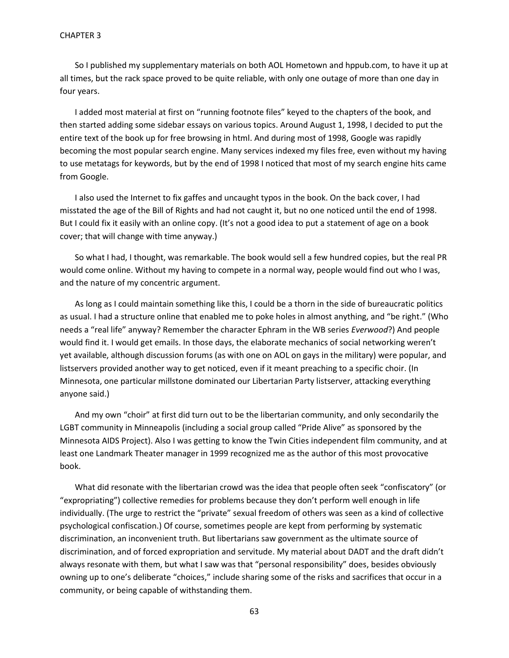So I published my supplementary materials on both AOL Hometown and hppub.com, to have it up at all times, but the rack space proved to be quite reliable, with only one outage of more than one day in four years.

I added most material at first on "running footnote files" keyed to the chapters of the book, and then started adding some sidebar essays on various topics. Around August 1, 1998, I decided to put the entire text of the book up for free browsing in html. And during most of 1998, Google was rapidly becoming the most popular search engine. Many services indexed my files free, even without my having to use metatags for keywords, but by the end of 1998 I noticed that most of my search engine hits came from Google.

I also used the Internet to fix gaffes and uncaught typos in the book. On the back cover, I had misstated the age of the Bill of Rights and had not caught it, but no one noticed until the end of 1998. But I could fix it easily with an online copy. (It's not a good idea to put a statement of age on a book cover; that will change with time anyway.)

So what I had, I thought, was remarkable. The book would sell a few hundred copies, but the real PR would come online. Without my having to compete in a normal way, people would find out who I was, and the nature of my concentric argument.

As long as I could maintain something like this, I could be a thorn in the side of bureaucratic politics as usual. I had a structure online that enabled me to poke holes in almost anything, and "be right." (Who needs a "real life" anyway? Remember the character Ephram in the WB series *Everwood*?) And people would find it. I would get emails. In those days, the elaborate mechanics of social networking weren't yet available, although discussion forums (as with one on AOL on gays in the military) were popular, and listservers provided another way to get noticed, even if it meant preaching to a specific choir. (In Minnesota, one particular millstone dominated our Libertarian Party listserver, attacking everything anyone said.)

And my own "choir" at first did turn out to be the libertarian community, and only secondarily the LGBT community in Minneapolis (including a social group called "Pride Alive" as sponsored by the Minnesota AIDS Project). Also I was getting to know the Twin Cities independent film community, and at least one Landmark Theater manager in 1999 recognized me as the author of this most provocative book.

What did resonate with the libertarian crowd was the idea that people often seek "confiscatory" (or "expropriating") collective remedies for problems because they don't perform well enough in life individually. (The urge to restrict the "private" sexual freedom of others was seen as a kind of collective psychological confiscation.) Of course, sometimes people are kept from performing by systematic discrimination, an inconvenient truth. But libertarians saw government as the ultimate source of discrimination, and of forced expropriation and servitude. My material about DADT and the draft didn't always resonate with them, but what I saw was that "personal responsibility" does, besides obviously owning up to one's deliberate "choices," include sharing some of the risks and sacrifices that occur in a community, or being capable of withstanding them.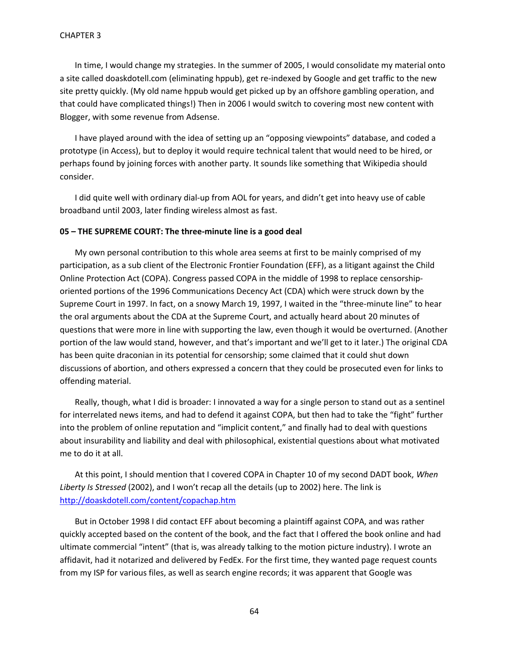In time, I would change my strategies. In the summer of 2005, I would consolidate my material onto a site called doaskdotell.com (eliminating hppub), get re-indexed by Google and get traffic to the new site pretty quickly. (My old name hppub would get picked up by an offshore gambling operation, and that could have complicated things!) Then in 2006 I would switch to covering most new content with Blogger, with some revenue from Adsense.

I have played around with the idea of setting up an "opposing viewpoints" database, and coded a prototype (in Access), but to deploy it would require technical talent that would need to be hired, or perhaps found by joining forces with another party. It sounds like something that Wikipedia should consider.

I did quite well with ordinary dial-up from AOL for years, and didn't get into heavy use of cable broadband until 2003, later finding wireless almost as fast.

### **05 – THE SUPREME COURT: The three-minute line is a good deal**

My own personal contribution to this whole area seems at first to be mainly comprised of my participation, as a sub client of the Electronic Frontier Foundation (EFF), as a litigant against the Child Online Protection Act (COPA). Congress passed COPA in the middle of 1998 to replace censorshiporiented portions of the 1996 Communications Decency Act (CDA) which were struck down by the Supreme Court in 1997. In fact, on a snowy March 19, 1997, I waited in the "three-minute line" to hear the oral arguments about the CDA at the Supreme Court, and actually heard about 20 minutes of questions that were more in line with supporting the law, even though it would be overturned. (Another portion of the law would stand, however, and that's important and we'll get to it later.) The original CDA has been quite draconian in its potential for censorship; some claimed that it could shut down discussions of abortion, and others expressed a concern that they could be prosecuted even for links to offending material.

Really, though, what I did is broader: I innovated a way for a single person to stand out as a sentinel for interrelated news items, and had to defend it against COPA, but then had to take the "fight" further into the problem of online reputation and "implicit content," and finally had to deal with questions about insurability and liability and deal with philosophical, existential questions about what motivated me to do it at all.

At this point, I should mention that I covered COPA in Chapter 10 of my second DADT book, *When Liberty Is Stressed* (2002), and I won't recap all the details (up to 2002) here. The link is <http://doaskdotell.com/content/copachap.htm>

But in October 1998 I did contact EFF about becoming a plaintiff against COPA, and was rather quickly accepted based on the content of the book, and the fact that I offered the book online and had ultimate commercial "intent" (that is, was already talking to the motion picture industry). I wrote an affidavit, had it notarized and delivered by FedEx. For the first time, they wanted page request counts from my ISP for various files, as well as search engine records; it was apparent that Google was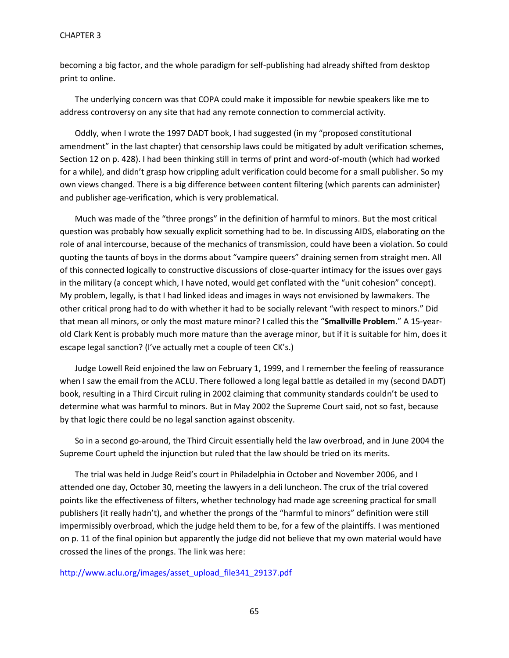### CHAPTER 3

becoming a big factor, and the whole paradigm for self-publishing had already shifted from desktop print to online.

The underlying concern was that COPA could make it impossible for newbie speakers like me to address controversy on any site that had any remote connection to commercial activity.

Oddly, when I wrote the 1997 DADT book, I had suggested (in my "proposed constitutional amendment" in the last chapter) that censorship laws could be mitigated by adult verification schemes, Section 12 on p. 428). I had been thinking still in terms of print and word-of-mouth (which had worked for a while), and didn't grasp how crippling adult verification could become for a small publisher. So my own views changed. There is a big difference between content filtering (which parents can administer) and publisher age-verification, which is very problematical.

Much was made of the "three prongs" in the definition of harmful to minors. But the most critical question was probably how sexually explicit something had to be. In discussing AIDS, elaborating on the role of anal intercourse, because of the mechanics of transmission, could have been a violation. So could quoting the taunts of boys in the dorms about "vampire queers" draining semen from straight men. All of this connected logically to constructive discussions of close-quarter intimacy for the issues over gays in the military (a concept which, I have noted, would get conflated with the "unit cohesion" concept). My problem, legally, is that I had linked ideas and images in ways not envisioned by lawmakers. The other critical prong had to do with whether it had to be socially relevant "with respect to minors." Did that mean all minors, or only the most mature minor? I called this the "**Smallville Problem**." A 15-yearold Clark Kent is probably much more mature than the average minor, but if it is suitable for him, does it escape legal sanction? (I've actually met a couple of teen CK's.)

Judge Lowell Reid enjoined the law on February 1, 1999, and I remember the feeling of reassurance when I saw the email from the ACLU. There followed a long legal battle as detailed in my (second DADT) book, resulting in a Third Circuit ruling in 2002 claiming that community standards couldn't be used to determine what was harmful to minors. But in May 2002 the Supreme Court said, not so fast, because by that logic there could be no legal sanction against obscenity.

So in a second go-around, the Third Circuit essentially held the law overbroad, and in June 2004 the Supreme Court upheld the injunction but ruled that the law should be tried on its merits.

The trial was held in Judge Reid's court in Philadelphia in October and November 2006, and I attended one day, October 30, meeting the lawyers in a deli luncheon. The crux of the trial covered points like the effectiveness of filters, whether technology had made age screening practical for small publishers (it really hadn't), and whether the prongs of the "harmful to minors" definition were still impermissibly overbroad, which the judge held them to be, for a few of the plaintiffs. I was mentioned on p. 11 of the final opinion but apparently the judge did not believe that my own material would have crossed the lines of the prongs. The link was here:

[http://www.aclu.org/images/asset\\_upload\\_file341\\_29137.pdf](http://www.aclu.org/images/asset_upload_file341_29137.pdf)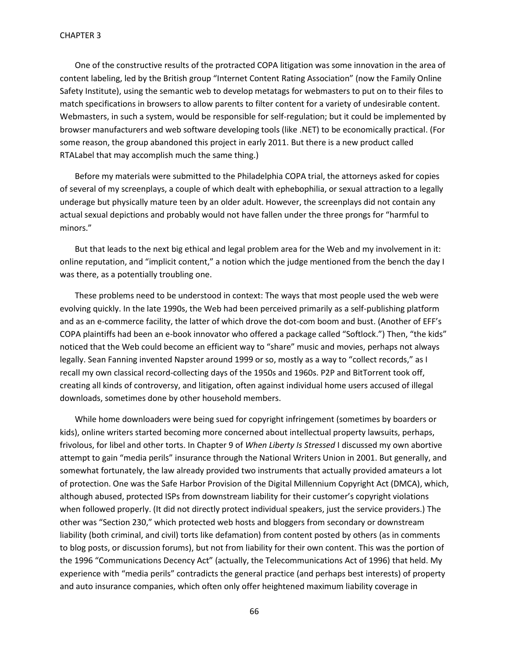One of the constructive results of the protracted COPA litigation was some innovation in the area of content labeling, led by the British group "Internet Content Rating Association" (now the Family Online Safety Institute), using the semantic web to develop metatags for webmasters to put on to their files to match specifications in browsers to allow parents to filter content for a variety of undesirable content. Webmasters, in such a system, would be responsible for self-regulation; but it could be implemented by browser manufacturers and web software developing tools (like .NET) to be economically practical. (For some reason, the group abandoned this project in early 2011. But there is a new product called RTALabel that may accomplish much the same thing.)

Before my materials were submitted to the Philadelphia COPA trial, the attorneys asked for copies of several of my screenplays, a couple of which dealt with ephebophilia, or sexual attraction to a legally underage but physically mature teen by an older adult. However, the screenplays did not contain any actual sexual depictions and probably would not have fallen under the three prongs for "harmful to minors."

But that leads to the next big ethical and legal problem area for the Web and my involvement in it: online reputation, and "implicit content," a notion which the judge mentioned from the bench the day I was there, as a potentially troubling one.

These problems need to be understood in context: The ways that most people used the web were evolving quickly. In the late 1990s, the Web had been perceived primarily as a self-publishing platform and as an e-commerce facility, the latter of which drove the dot-com boom and bust. (Another of EFF's COPA plaintiffs had been an e-book innovator who offered a package called "Softlock.") Then, "the kids" noticed that the Web could become an efficient way to "share" music and movies, perhaps not always legally. Sean Fanning invented Napster around 1999 or so, mostly as a way to "collect records," as I recall my own classical record-collecting days of the 1950s and 1960s. P2P and BitTorrent took off, creating all kinds of controversy, and litigation, often against individual home users accused of illegal downloads, sometimes done by other household members.

While home downloaders were being sued for copyright infringement (sometimes by boarders or kids), online writers started becoming more concerned about intellectual property lawsuits, perhaps, frivolous, for libel and other torts. In Chapter 9 of *When Liberty Is Stressed* I discussed my own abortive attempt to gain "media perils" insurance through the National Writers Union in 2001. But generally, and somewhat fortunately, the law already provided two instruments that actually provided amateurs a lot of protection. One was the Safe Harbor Provision of the Digital Millennium Copyright Act (DMCA), which, although abused, protected ISPs from downstream liability for their customer's copyright violations when followed properly. (It did not directly protect individual speakers, just the service providers.) The other was "Section 230," which protected web hosts and bloggers from secondary or downstream liability (both criminal, and civil) torts like defamation) from content posted by others (as in comments to blog posts, or discussion forums), but not from liability for their own content. This was the portion of the 1996 "Communications Decency Act" (actually, the Telecommunications Act of 1996) that held. My experience with "media perils" contradicts the general practice (and perhaps best interests) of property and auto insurance companies, which often only offer heightened maximum liability coverage in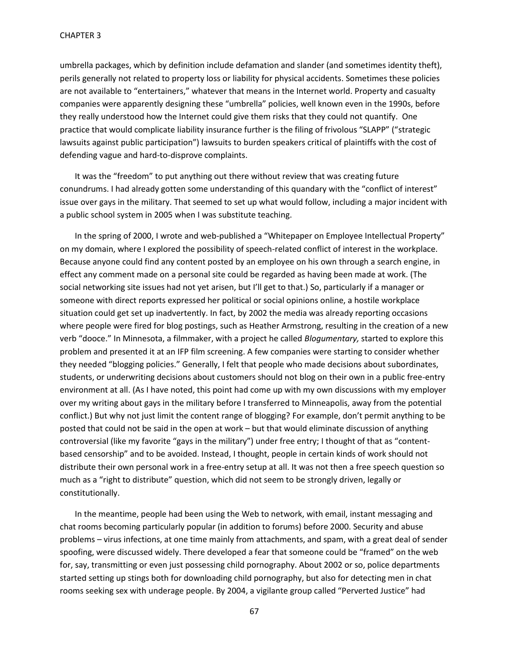umbrella packages, which by definition include defamation and slander (and sometimes identity theft), perils generally not related to property loss or liability for physical accidents. Sometimes these policies are not available to "entertainers," whatever that means in the Internet world. Property and casualty companies were apparently designing these "umbrella" policies, well known even in the 1990s, before they really understood how the Internet could give them risks that they could not quantify. One practice that would complicate liability insurance further is the filing of frivolous "SLAPP" ("strategic lawsuits against public participation") lawsuits to burden speakers critical of plaintiffs with the cost of defending vague and hard-to-disprove complaints.

It was the "freedom" to put anything out there without review that was creating future conundrums. I had already gotten some understanding of this quandary with the "conflict of interest" issue over gays in the military. That seemed to set up what would follow, including a major incident with a public school system in 2005 when I was substitute teaching.

In the spring of 2000, I wrote and web-published a "Whitepaper on Employee Intellectual Property" on my domain, where I explored the possibility of speech-related conflict of interest in the workplace. Because anyone could find any content posted by an employee on his own through a search engine, in effect any comment made on a personal site could be regarded as having been made at work. (The social networking site issues had not yet arisen, but I'll get to that.) So, particularly if a manager or someone with direct reports expressed her political or social opinions online, a hostile workplace situation could get set up inadvertently. In fact, by 2002 the media was already reporting occasions where people were fired for blog postings, such as Heather Armstrong, resulting in the creation of a new verb "dooce." In Minnesota, a filmmaker, with a project he called *Blogumentary,* started to explore this problem and presented it at an IFP film screening. A few companies were starting to consider whether they needed "blogging policies." Generally, I felt that people who made decisions about subordinates, students, or underwriting decisions about customers should not blog on their own in a public free-entry environment at all. (As I have noted, this point had come up with my own discussions with my employer over my writing about gays in the military before I transferred to Minneapolis, away from the potential conflict.) But why not just limit the content range of blogging? For example, don't permit anything to be posted that could not be said in the open at work – but that would eliminate discussion of anything controversial (like my favorite "gays in the military") under free entry; I thought of that as "contentbased censorship" and to be avoided. Instead, I thought, people in certain kinds of work should not distribute their own personal work in a free-entry setup at all. It was not then a free speech question so much as a "right to distribute" question, which did not seem to be strongly driven, legally or constitutionally.

In the meantime, people had been using the Web to network, with email, instant messaging and chat rooms becoming particularly popular (in addition to forums) before 2000. Security and abuse problems – virus infections, at one time mainly from attachments, and spam, with a great deal of sender spoofing, were discussed widely. There developed a fear that someone could be "framed" on the web for, say, transmitting or even just possessing child pornography. About 2002 or so, police departments started setting up stings both for downloading child pornography, but also for detecting men in chat rooms seeking sex with underage people. By 2004, a vigilante group called "Perverted Justice" had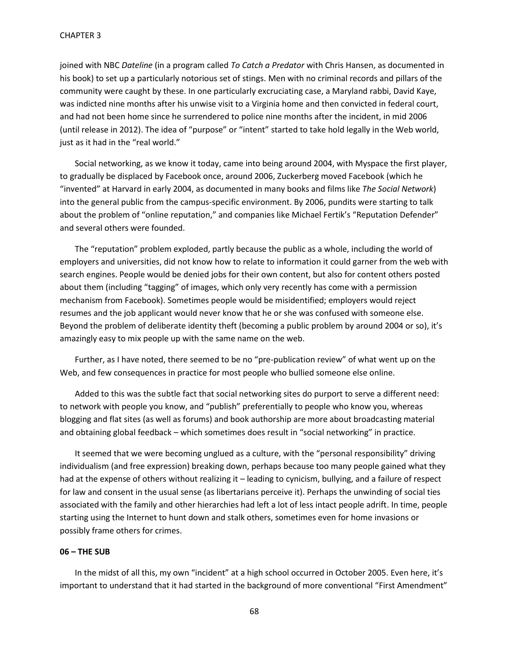joined with NBC *Dateline* (in a program called *To Catch a Predator* with Chris Hansen, as documented in his book) to set up a particularly notorious set of stings. Men with no criminal records and pillars of the community were caught by these. In one particularly excruciating case, a Maryland rabbi, David Kaye, was indicted nine months after his unwise visit to a Virginia home and then convicted in federal court, and had not been home since he surrendered to police nine months after the incident, in mid 2006 (until release in 2012). The idea of "purpose" or "intent" started to take hold legally in the Web world, just as it had in the "real world."

Social networking, as we know it today, came into being around 2004, with Myspace the first player, to gradually be displaced by Facebook once, around 2006, Zuckerberg moved Facebook (which he "invented" at Harvard in early 2004, as documented in many books and films like *The Social Network*) into the general public from the campus-specific environment. By 2006, pundits were starting to talk about the problem of "online reputation," and companies like Michael Fertik's "Reputation Defender" and several others were founded.

The "reputation" problem exploded, partly because the public as a whole, including the world of employers and universities, did not know how to relate to information it could garner from the web with search engines. People would be denied jobs for their own content, but also for content others posted about them (including "tagging" of images, which only very recently has come with a permission mechanism from Facebook). Sometimes people would be misidentified; employers would reject resumes and the job applicant would never know that he or she was confused with someone else. Beyond the problem of deliberate identity theft (becoming a public problem by around 2004 or so), it's amazingly easy to mix people up with the same name on the web.

Further, as I have noted, there seemed to be no "pre-publication review" of what went up on the Web, and few consequences in practice for most people who bullied someone else online.

Added to this was the subtle fact that social networking sites do purport to serve a different need: to network with people you know, and "publish" preferentially to people who know you, whereas blogging and flat sites (as well as forums) and book authorship are more about broadcasting material and obtaining global feedback – which sometimes does result in "social networking" in practice.

It seemed that we were becoming unglued as a culture, with the "personal responsibility" driving individualism (and free expression) breaking down, perhaps because too many people gained what they had at the expense of others without realizing it – leading to cynicism, bullying, and a failure of respect for law and consent in the usual sense (as libertarians perceive it). Perhaps the unwinding of social ties associated with the family and other hierarchies had left a lot of less intact people adrift. In time, people starting using the Internet to hunt down and stalk others, sometimes even for home invasions or possibly frame others for crimes.

#### **06 – THE SUB**

In the midst of all this, my own "incident" at a high school occurred in October 2005. Even here, it's important to understand that it had started in the background of more conventional "First Amendment"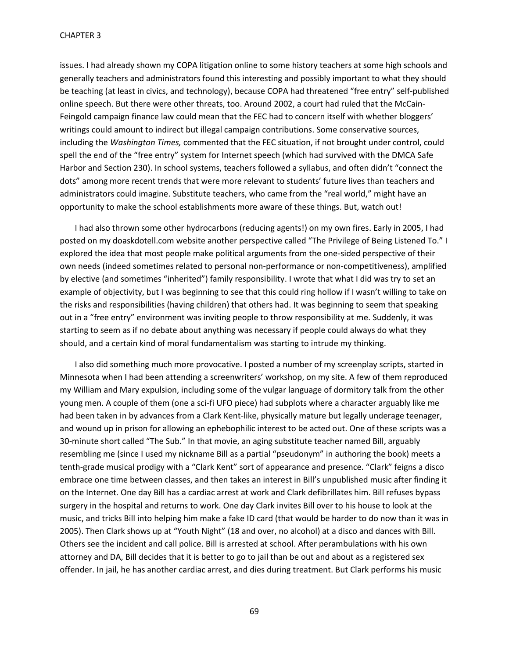issues. I had already shown my COPA litigation online to some history teachers at some high schools and generally teachers and administrators found this interesting and possibly important to what they should be teaching (at least in civics, and technology), because COPA had threatened "free entry" self-published online speech. But there were other threats, too. Around 2002, a court had ruled that the McCain-Feingold campaign finance law could mean that the FEC had to concern itself with whether bloggers' writings could amount to indirect but illegal campaign contributions. Some conservative sources, including the *Washington Times,* commented that the FEC situation, if not brought under control, could spell the end of the "free entry" system for Internet speech (which had survived with the DMCA Safe Harbor and Section 230). In school systems, teachers followed a syllabus, and often didn't "connect the dots" among more recent trends that were more relevant to students' future lives than teachers and administrators could imagine. Substitute teachers, who came from the "real world," might have an opportunity to make the school establishments more aware of these things. But, watch out!

I had also thrown some other hydrocarbons (reducing agents!) on my own fires. Early in 2005, I had posted on my doaskdotell.com website another perspective called "The Privilege of Being Listened To." I explored the idea that most people make political arguments from the one-sided perspective of their own needs (indeed sometimes related to personal non-performance or non-competitiveness), amplified by elective (and sometimes "inherited") family responsibility. I wrote that what I did was try to set an example of objectivity, but I was beginning to see that this could ring hollow if I wasn't willing to take on the risks and responsibilities (having children) that others had. It was beginning to seem that speaking out in a "free entry" environment was inviting people to throw responsibility at me. Suddenly, it was starting to seem as if no debate about anything was necessary if people could always do what they should, and a certain kind of moral fundamentalism was starting to intrude my thinking.

I also did something much more provocative. I posted a number of my screenplay scripts, started in Minnesota when I had been attending a screenwriters' workshop, on my site. A few of them reproduced my William and Mary expulsion, including some of the vulgar language of dormitory talk from the other young men. A couple of them (one a sci-fi UFO piece) had subplots where a character arguably like me had been taken in by advances from a Clark Kent-like, physically mature but legally underage teenager, and wound up in prison for allowing an ephebophilic interest to be acted out. One of these scripts was a 30-minute short called "The Sub." In that movie, an aging substitute teacher named Bill, arguably resembling me (since I used my nickname Bill as a partial "pseudonym" in authoring the book) meets a tenth-grade musical prodigy with a "Clark Kent" sort of appearance and presence. "Clark" feigns a disco embrace one time between classes, and then takes an interest in Bill's unpublished music after finding it on the Internet. One day Bill has a cardiac arrest at work and Clark defibrillates him. Bill refuses bypass surgery in the hospital and returns to work. One day Clark invites Bill over to his house to look at the music, and tricks Bill into helping him make a fake ID card (that would be harder to do now than it was in 2005). Then Clark shows up at "Youth Night" (18 and over, no alcohol) at a disco and dances with Bill. Others see the incident and call police. Bill is arrested at school. After perambulations with his own attorney and DA, Bill decides that it is better to go to jail than be out and about as a registered sex offender. In jail, he has another cardiac arrest, and dies during treatment. But Clark performs his music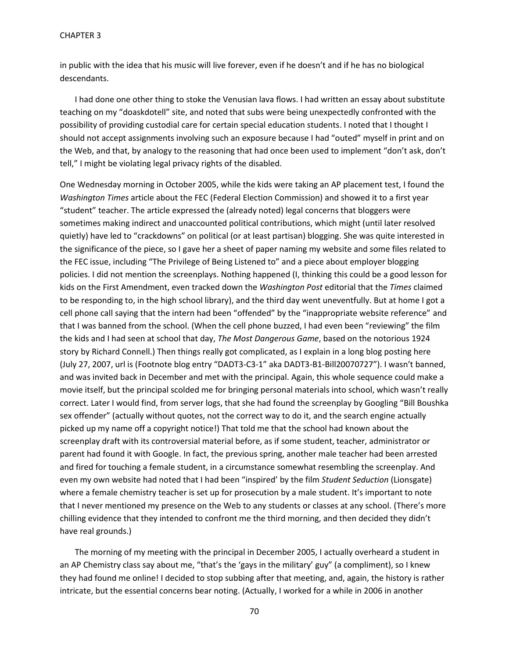#### CHAPTER 3

in public with the idea that his music will live forever, even if he doesn't and if he has no biological descendants.

I had done one other thing to stoke the Venusian lava flows. I had written an essay about substitute teaching on my "doaskdotell" site, and noted that subs were being unexpectedly confronted with the possibility of providing custodial care for certain special education students. I noted that I thought I should not accept assignments involving such an exposure because I had "outed" myself in print and on the Web, and that, by analogy to the reasoning that had once been used to implement "don't ask, don't tell," I might be violating legal privacy rights of the disabled.

One Wednesday morning in October 2005, while the kids were taking an AP placement test, I found the *Washington Times* article about the FEC (Federal Election Commission) and showed it to a first year "student" teacher. The article expressed the (already noted) legal concerns that bloggers were sometimes making indirect and unaccounted political contributions, which might (until later resolved quietly) have led to "crackdowns" on political (or at least partisan) blogging. She was quite interested in the significance of the piece, so I gave her a sheet of paper naming my website and some files related to the FEC issue, including "The Privilege of Being Listened to" and a piece about employer blogging policies. I did not mention the screenplays. Nothing happened (I, thinking this could be a good lesson for kids on the First Amendment, even tracked down the *Washington Post* editorial that the *Times* claimed to be responding to, in the high school library), and the third day went uneventfully. But at home I got a cell phone call saying that the intern had been "offended" by the "inappropriate website reference" and that I was banned from the school. (When the cell phone buzzed, I had even been "reviewing" the film the kids and I had seen at school that day, *The Most Dangerous Game*, based on the notorious 1924 story by Richard Connell.) Then things really got complicated, as I explain in a long blog posting here (July 27, 2007, url is (Footnote blog entry "DADT3-C3-1" aka DADT3-B1-Bill20070727"). I wasn't banned, and was invited back in December and met with the principal. Again, this whole sequence could make a movie itself, but the principal scolded me for bringing personal materials into school, which wasn't really correct. Later I would find, from server logs, that she had found the screenplay by Googling "Bill Boushka sex offender" (actually without quotes, not the correct way to do it, and the search engine actually picked up my name off a copyright notice!) That told me that the school had known about the screenplay draft with its controversial material before, as if some student, teacher, administrator or parent had found it with Google. In fact, the previous spring, another male teacher had been arrested and fired for touching a female student, in a circumstance somewhat resembling the screenplay. And even my own website had noted that I had been "inspired' by the film *Student Seduction* (Lionsgate) where a female chemistry teacher is set up for prosecution by a male student. It's important to note that I never mentioned my presence on the Web to any students or classes at any school. (There's more chilling evidence that they intended to confront me the third morning, and then decided they didn't have real grounds.)

The morning of my meeting with the principal in December 2005, I actually overheard a student in an AP Chemistry class say about me, "that's the 'gays in the military' guy" (a compliment), so I knew they had found me online! I decided to stop subbing after that meeting, and, again, the history is rather intricate, but the essential concerns bear noting. (Actually, I worked for a while in 2006 in another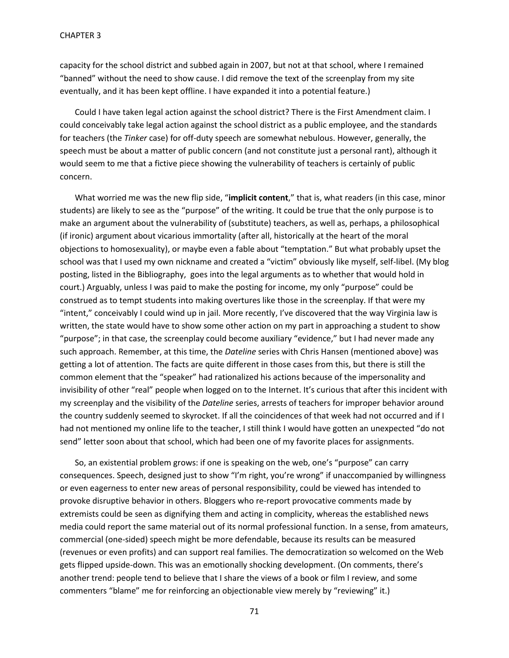capacity for the school district and subbed again in 2007, but not at that school, where I remained "banned" without the need to show cause. I did remove the text of the screenplay from my site eventually, and it has been kept offline. I have expanded it into a potential feature.)

Could I have taken legal action against the school district? There is the First Amendment claim. I could conceivably take legal action against the school district as a public employee, and the standards for teachers (the *Tinker* case) for off-duty speech are somewhat nebulous. However, generally, the speech must be about a matter of public concern (and not constitute just a personal rant), although it would seem to me that a fictive piece showing the vulnerability of teachers is certainly of public concern.

What worried me was the new flip side, "**implicit content**," that is, what readers (in this case, minor students) are likely to see as the "purpose" of the writing. It could be true that the only purpose is to make an argument about the vulnerability of (substitute) teachers, as well as, perhaps, a philosophical (if ironic) argument about vicarious immortality (after all, historically at the heart of the moral objections to homosexuality), or maybe even a fable about "temptation." But what probably upset the school was that I used my own nickname and created a "victim" obviously like myself, self-libel. (My blog posting, listed in the Bibliography, goes into the legal arguments as to whether that would hold in court.) Arguably, unless I was paid to make the posting for income, my only "purpose" could be construed as to tempt students into making overtures like those in the screenplay. If that were my "intent," conceivably I could wind up in jail. More recently, I've discovered that the way Virginia law is written, the state would have to show some other action on my part in approaching a student to show "purpose"; in that case, the screenplay could become auxiliary "evidence," but I had never made any such approach. Remember, at this time, the *Dateline* series with Chris Hansen (mentioned above) was getting a lot of attention. The facts are quite different in those cases from this, but there is still the common element that the "speaker" had rationalized his actions because of the impersonality and invisibility of other "real" people when logged on to the Internet. It's curious that after this incident with my screenplay and the visibility of the *Dateline* series, arrests of teachers for improper behavior around the country suddenly seemed to skyrocket. If all the coincidences of that week had not occurred and if I had not mentioned my online life to the teacher, I still think I would have gotten an unexpected "do not send" letter soon about that school, which had been one of my favorite places for assignments.

So, an existential problem grows: if one is speaking on the web, one's "purpose" can carry consequences. Speech, designed just to show "I'm right, you're wrong" if unaccompanied by willingness or even eagerness to enter new areas of personal responsibility, could be viewed has intended to provoke disruptive behavior in others. Bloggers who re-report provocative comments made by extremists could be seen as dignifying them and acting in complicity, whereas the established news media could report the same material out of its normal professional function. In a sense, from amateurs, commercial (one-sided) speech might be more defendable, because its results can be measured (revenues or even profits) and can support real families. The democratization so welcomed on the Web gets flipped upside-down. This was an emotionally shocking development. (On comments, there's another trend: people tend to believe that I share the views of a book or film I review, and some commenters "blame" me for reinforcing an objectionable view merely by "reviewing" it.)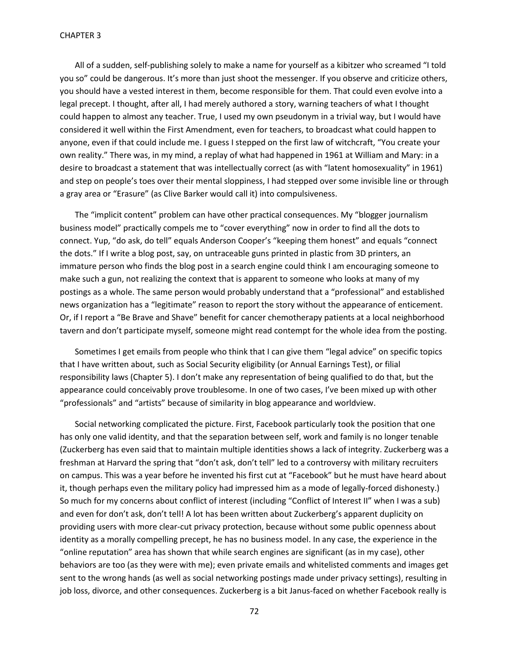All of a sudden, self-publishing solely to make a name for yourself as a kibitzer who screamed "I told you so" could be dangerous. It's more than just shoot the messenger. If you observe and criticize others, you should have a vested interest in them, become responsible for them. That could even evolve into a legal precept. I thought, after all, I had merely authored a story, warning teachers of what I thought could happen to almost any teacher. True, I used my own pseudonym in a trivial way, but I would have considered it well within the First Amendment, even for teachers, to broadcast what could happen to anyone, even if that could include me. I guess I stepped on the first law of witchcraft, "You create your own reality." There was, in my mind, a replay of what had happened in 1961 at William and Mary: in a desire to broadcast a statement that was intellectually correct (as with "latent homosexuality" in 1961) and step on people's toes over their mental sloppiness, I had stepped over some invisible line or through a gray area or "Erasure" (as Clive Barker would call it) into compulsiveness.

The "implicit content" problem can have other practical consequences. My "blogger journalism business model" practically compels me to "cover everything" now in order to find all the dots to connect. Yup, "do ask, do tell" equals Anderson Cooper's "keeping them honest" and equals "connect the dots." If I write a blog post, say, on untraceable guns printed in plastic from 3D printers, an immature person who finds the blog post in a search engine could think I am encouraging someone to make such a gun, not realizing the context that is apparent to someone who looks at many of my postings as a whole. The same person would probably understand that a "professional" and established news organization has a "legitimate" reason to report the story without the appearance of enticement. Or, if I report a "Be Brave and Shave" benefit for cancer chemotherapy patients at a local neighborhood tavern and don't participate myself, someone might read contempt for the whole idea from the posting.

Sometimes I get emails from people who think that I can give them "legal advice" on specific topics that I have written about, such as Social Security eligibility (or Annual Earnings Test), or filial responsibility laws (Chapter 5). I don't make any representation of being qualified to do that, but the appearance could conceivably prove troublesome. In one of two cases, I've been mixed up with other "professionals" and "artists" because of similarity in blog appearance and worldview.

Social networking complicated the picture. First, Facebook particularly took the position that one has only one valid identity, and that the separation between self, work and family is no longer tenable (Zuckerberg has even said that to maintain multiple identities shows a lack of integrity. Zuckerberg was a freshman at Harvard the spring that "don't ask, don't tell" led to a controversy with military recruiters on campus. This was a year before he invented his first cut at "Facebook" but he must have heard about it, though perhaps even the military policy had impressed him as a mode of legally-forced dishonesty.) So much for my concerns about conflict of interest (including "Conflict of Interest II" when I was a sub) and even for don't ask, don't tell! A lot has been written about Zuckerberg's apparent duplicity on providing users with more clear-cut privacy protection, because without some public openness about identity as a morally compelling precept, he has no business model. In any case, the experience in the "online reputation" area has shown that while search engines are significant (as in my case), other behaviors are too (as they were with me); even private emails and whitelisted comments and images get sent to the wrong hands (as well as social networking postings made under privacy settings), resulting in job loss, divorce, and other consequences. Zuckerberg is a bit Janus-faced on whether Facebook really is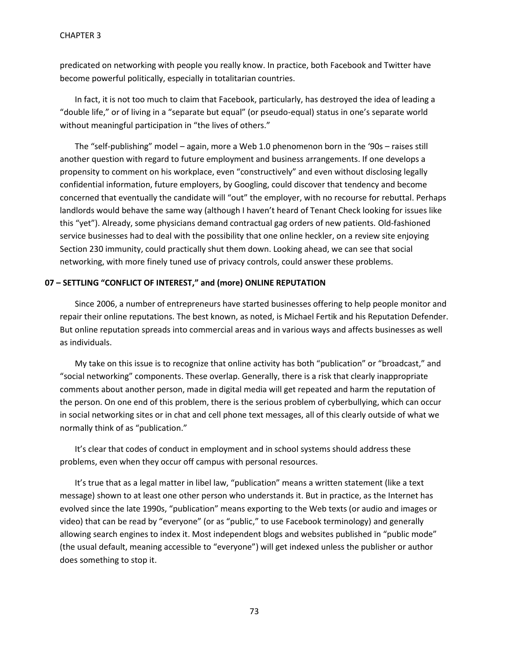predicated on networking with people you really know. In practice, both Facebook and Twitter have become powerful politically, especially in totalitarian countries.

In fact, it is not too much to claim that Facebook, particularly, has destroyed the idea of leading a "double life," or of living in a "separate but equal" (or pseudo-equal) status in one's separate world without meaningful participation in "the lives of others."

The "self-publishing" model – again, more a Web 1.0 phenomenon born in the '90s – raises still another question with regard to future employment and business arrangements. If one develops a propensity to comment on his workplace, even "constructively" and even without disclosing legally confidential information, future employers, by Googling, could discover that tendency and become concerned that eventually the candidate will "out" the employer, with no recourse for rebuttal. Perhaps landlords would behave the same way (although I haven't heard of Tenant Check looking for issues like this "yet"). Already, some physicians demand contractual gag orders of new patients. Old-fashioned service businesses had to deal with the possibility that one online heckler, on a review site enjoying Section 230 immunity, could practically shut them down. Looking ahead, we can see that social networking, with more finely tuned use of privacy controls, could answer these problems.

### **07 – SETTLING "CONFLICT OF INTEREST," and (more) ONLINE REPUTATION**

Since 2006, a number of entrepreneurs have started businesses offering to help people monitor and repair their online reputations. The best known, as noted, is Michael Fertik and his Reputation Defender. But online reputation spreads into commercial areas and in various ways and affects businesses as well as individuals.

My take on this issue is to recognize that online activity has both "publication" or "broadcast," and "social networking" components. These overlap. Generally, there is a risk that clearly inappropriate comments about another person, made in digital media will get repeated and harm the reputation of the person. On one end of this problem, there is the serious problem of cyberbullying, which can occur in social networking sites or in chat and cell phone text messages, all of this clearly outside of what we normally think of as "publication."

It's clear that codes of conduct in employment and in school systems should address these problems, even when they occur off campus with personal resources.

It's true that as a legal matter in libel law, "publication" means a written statement (like a text message) shown to at least one other person who understands it. But in practice, as the Internet has evolved since the late 1990s, "publication" means exporting to the Web texts (or audio and images or video) that can be read by "everyone" (or as "public," to use Facebook terminology) and generally allowing search engines to index it. Most independent blogs and websites published in "public mode" (the usual default, meaning accessible to "everyone") will get indexed unless the publisher or author does something to stop it.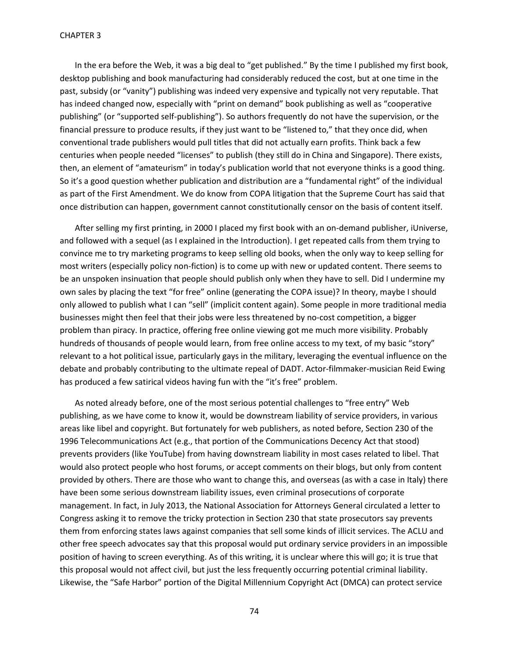In the era before the Web, it was a big deal to "get published." By the time I published my first book, desktop publishing and book manufacturing had considerably reduced the cost, but at one time in the past, subsidy (or "vanity") publishing was indeed very expensive and typically not very reputable. That has indeed changed now, especially with "print on demand" book publishing as well as "cooperative publishing" (or "supported self-publishing"). So authors frequently do not have the supervision, or the financial pressure to produce results, if they just want to be "listened to," that they once did, when conventional trade publishers would pull titles that did not actually earn profits. Think back a few centuries when people needed "licenses" to publish (they still do in China and Singapore). There exists, then, an element of "amateurism" in today's publication world that not everyone thinks is a good thing. So it's a good question whether publication and distribution are a "fundamental right" of the individual as part of the First Amendment. We do know from COPA litigation that the Supreme Court has said that once distribution can happen, government cannot constitutionally censor on the basis of content itself.

After selling my first printing, in 2000 I placed my first book with an on-demand publisher, iUniverse, and followed with a sequel (as I explained in the Introduction). I get repeated calls from them trying to convince me to try marketing programs to keep selling old books, when the only way to keep selling for most writers (especially policy non-fiction) is to come up with new or updated content. There seems to be an unspoken insinuation that people should publish only when they have to sell. Did I undermine my own sales by placing the text "for free" online (generating the COPA issue)? In theory, maybe I should only allowed to publish what I can "sell" (implicit content again). Some people in more traditional media businesses might then feel that their jobs were less threatened by no-cost competition, a bigger problem than piracy. In practice, offering free online viewing got me much more visibility. Probably hundreds of thousands of people would learn, from free online access to my text, of my basic "story" relevant to a hot political issue, particularly gays in the military, leveraging the eventual influence on the debate and probably contributing to the ultimate repeal of DADT. Actor-filmmaker-musician Reid Ewing has produced a few satirical videos having fun with the "it's free" problem.

As noted already before, one of the most serious potential challenges to "free entry" Web publishing, as we have come to know it, would be downstream liability of service providers, in various areas like libel and copyright. But fortunately for web publishers, as noted before, Section 230 of the 1996 Telecommunications Act (e.g., that portion of the Communications Decency Act that stood) prevents providers (like YouTube) from having downstream liability in most cases related to libel. That would also protect people who host forums, or accept comments on their blogs, but only from content provided by others. There are those who want to change this, and overseas (as with a case in Italy) there have been some serious downstream liability issues, even criminal prosecutions of corporate management. In fact, in July 2013, the National Association for Attorneys General circulated a letter to Congress asking it to remove the tricky protection in Section 230 that state prosecutors say prevents them from enforcing states laws against companies that sell some kinds of illicit services. The ACLU and other free speech advocates say that this proposal would put ordinary service providers in an impossible position of having to screen everything. As of this writing, it is unclear where this will go; it is true that this proposal would not affect civil, but just the less frequently occurring potential criminal liability. Likewise, the "Safe Harbor" portion of the Digital Millennium Copyright Act (DMCA) can protect service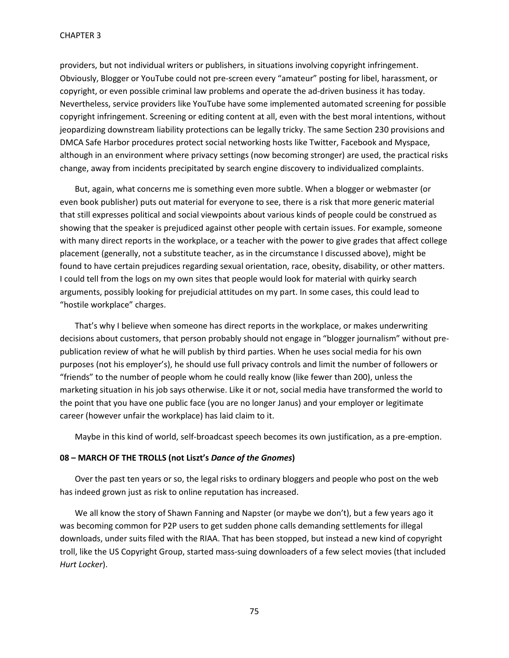providers, but not individual writers or publishers, in situations involving copyright infringement. Obviously, Blogger or YouTube could not pre-screen every "amateur" posting for libel, harassment, or copyright, or even possible criminal law problems and operate the ad-driven business it has today. Nevertheless, service providers like YouTube have some implemented automated screening for possible copyright infringement. Screening or editing content at all, even with the best moral intentions, without jeopardizing downstream liability protections can be legally tricky. The same Section 230 provisions and DMCA Safe Harbor procedures protect social networking hosts like Twitter, Facebook and Myspace, although in an environment where privacy settings (now becoming stronger) are used, the practical risks change, away from incidents precipitated by search engine discovery to individualized complaints.

But, again, what concerns me is something even more subtle. When a blogger or webmaster (or even book publisher) puts out material for everyone to see, there is a risk that more generic material that still expresses political and social viewpoints about various kinds of people could be construed as showing that the speaker is prejudiced against other people with certain issues. For example, someone with many direct reports in the workplace, or a teacher with the power to give grades that affect college placement (generally, not a substitute teacher, as in the circumstance I discussed above), might be found to have certain prejudices regarding sexual orientation, race, obesity, disability, or other matters. I could tell from the logs on my own sites that people would look for material with quirky search arguments, possibly looking for prejudicial attitudes on my part. In some cases, this could lead to "hostile workplace" charges.

That's why I believe when someone has direct reports in the workplace, or makes underwriting decisions about customers, that person probably should not engage in "blogger journalism" without prepublication review of what he will publish by third parties. When he uses social media for his own purposes (not his employer's), he should use full privacy controls and limit the number of followers or "friends" to the number of people whom he could really know (like fewer than 200), unless the marketing situation in his job says otherwise. Like it or not, social media have transformed the world to the point that you have one public face (you are no longer Janus) and your employer or legitimate career (however unfair the workplace) has laid claim to it.

Maybe in this kind of world, self-broadcast speech becomes its own justification, as a pre-emption.

## **08 – MARCH OF THE TROLLS (not Liszt's** *Dance of the Gnomes***)**

Over the past ten years or so, the legal risks to ordinary bloggers and people who post on the web has indeed grown just as risk to online reputation has increased.

We all know the story of Shawn Fanning and Napster (or maybe we don't), but a few years ago it was becoming common for P2P users to get sudden phone calls demanding settlements for illegal downloads, under suits filed with the RIAA. That has been stopped, but instead a new kind of copyright troll, like the US Copyright Group, started mass-suing downloaders of a few select movies (that included *Hurt Locker*).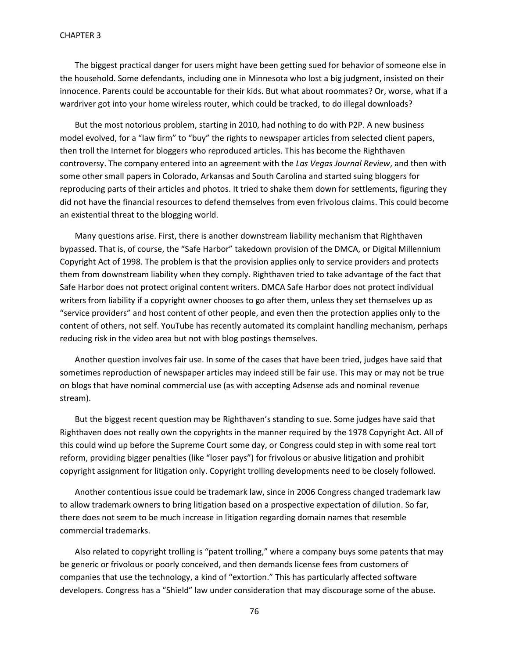The biggest practical danger for users might have been getting sued for behavior of someone else in the household. Some defendants, including one in Minnesota who lost a big judgment, insisted on their innocence. Parents could be accountable for their kids. But what about roommates? Or, worse, what if a wardriver got into your home wireless router, which could be tracked, to do illegal downloads?

But the most notorious problem, starting in 2010, had nothing to do with P2P. A new business model evolved, for a "law firm" to "buy" the rights to newspaper articles from selected client papers, then troll the Internet for bloggers who reproduced articles. This has become the Righthaven controversy. The company entered into an agreement with the *Las Vegas Journal Review*, and then with some other small papers in Colorado, Arkansas and South Carolina and started suing bloggers for reproducing parts of their articles and photos. It tried to shake them down for settlements, figuring they did not have the financial resources to defend themselves from even frivolous claims. This could become an existential threat to the blogging world.

Many questions arise. First, there is another downstream liability mechanism that Righthaven bypassed. That is, of course, the "Safe Harbor" takedown provision of the DMCA, or Digital Millennium Copyright Act of 1998. The problem is that the provision applies only to service providers and protects them from downstream liability when they comply. Righthaven tried to take advantage of the fact that Safe Harbor does not protect original content writers. DMCA Safe Harbor does not protect individual writers from liability if a copyright owner chooses to go after them, unless they set themselves up as "service providers" and host content of other people, and even then the protection applies only to the content of others, not self. YouTube has recently automated its complaint handling mechanism, perhaps reducing risk in the video area but not with blog postings themselves.

Another question involves fair use. In some of the cases that have been tried, judges have said that sometimes reproduction of newspaper articles may indeed still be fair use. This may or may not be true on blogs that have nominal commercial use (as with accepting Adsense ads and nominal revenue stream).

But the biggest recent question may be Righthaven's standing to sue. Some judges have said that Righthaven does not really own the copyrights in the manner required by the 1978 Copyright Act. All of this could wind up before the Supreme Court some day, or Congress could step in with some real tort reform, providing bigger penalties (like "loser pays") for frivolous or abusive litigation and prohibit copyright assignment for litigation only. Copyright trolling developments need to be closely followed.

Another contentious issue could be trademark law, since in 2006 Congress changed trademark law to allow trademark owners to bring litigation based on a prospective expectation of dilution. So far, there does not seem to be much increase in litigation regarding domain names that resemble commercial trademarks.

Also related to copyright trolling is "patent trolling," where a company buys some patents that may be generic or frivolous or poorly conceived, and then demands license fees from customers of companies that use the technology, a kind of "extortion." This has particularly affected software developers. Congress has a "Shield" law under consideration that may discourage some of the abuse.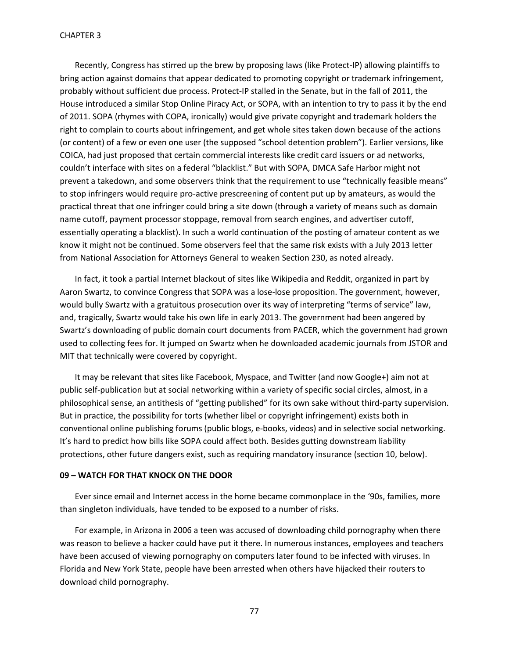Recently, Congress has stirred up the brew by proposing laws (like Protect-IP) allowing plaintiffs to bring action against domains that appear dedicated to promoting copyright or trademark infringement, probably without sufficient due process. Protect-IP stalled in the Senate, but in the fall of 2011, the House introduced a similar Stop Online Piracy Act, or SOPA, with an intention to try to pass it by the end of 2011. SOPA (rhymes with COPA, ironically) would give private copyright and trademark holders the right to complain to courts about infringement, and get whole sites taken down because of the actions (or content) of a few or even one user (the supposed "school detention problem"). Earlier versions, like COICA, had just proposed that certain commercial interests like credit card issuers or ad networks, couldn't interface with sites on a federal "blacklist." But with SOPA, DMCA Safe Harbor might not prevent a takedown, and some observers think that the requirement to use "technically feasible means" to stop infringers would require pro-active prescreening of content put up by amateurs, as would the practical threat that one infringer could bring a site down (through a variety of means such as domain name cutoff, payment processor stoppage, removal from search engines, and advertiser cutoff, essentially operating a blacklist). In such a world continuation of the posting of amateur content as we know it might not be continued. Some observers feel that the same risk exists with a July 2013 letter from National Association for Attorneys General to weaken Section 230, as noted already.

In fact, it took a partial Internet blackout of sites like Wikipedia and Reddit, organized in part by Aaron Swartz, to convince Congress that SOPA was a lose-lose proposition. The government, however, would bully Swartz with a gratuitous prosecution over its way of interpreting "terms of service" law, and, tragically, Swartz would take his own life in early 2013. The government had been angered by Swartz's downloading of public domain court documents from PACER, which the government had grown used to collecting fees for. It jumped on Swartz when he downloaded academic journals from JSTOR and MIT that technically were covered by copyright.

It may be relevant that sites like Facebook, Myspace, and Twitter (and now Google+) aim not at public self-publication but at social networking within a variety of specific social circles, almost, in a philosophical sense, an antithesis of "getting published" for its own sake without third-party supervision. But in practice, the possibility for torts (whether libel or copyright infringement) exists both in conventional online publishing forums (public blogs, e-books, videos) and in selective social networking. It's hard to predict how bills like SOPA could affect both. Besides gutting downstream liability protections, other future dangers exist, such as requiring mandatory insurance (section 10, below).

### **09 – WATCH FOR THAT KNOCK ON THE DOOR**

Ever since email and Internet access in the home became commonplace in the '90s, families, more than singleton individuals, have tended to be exposed to a number of risks.

For example, in Arizona in 2006 a teen was accused of downloading child pornography when there was reason to believe a hacker could have put it there. In numerous instances, employees and teachers have been accused of viewing pornography on computers later found to be infected with viruses. In Florida and New York State, people have been arrested when others have hijacked their routers to download child pornography.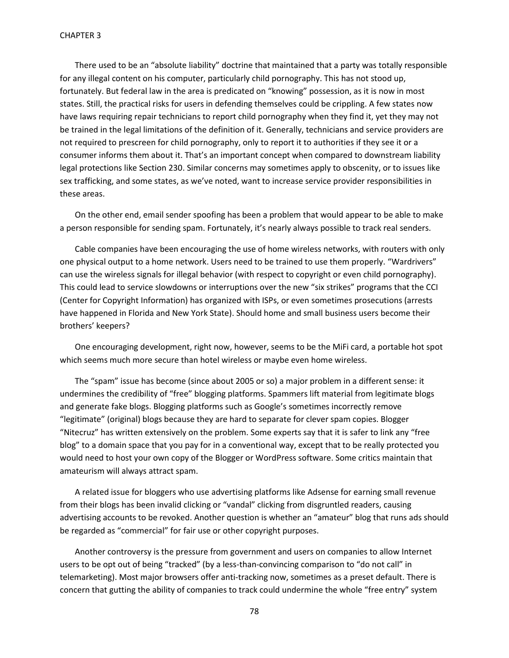There used to be an "absolute liability" doctrine that maintained that a party was totally responsible for any illegal content on his computer, particularly child pornography. This has not stood up, fortunately. But federal law in the area is predicated on "knowing" possession, as it is now in most states. Still, the practical risks for users in defending themselves could be crippling. A few states now have laws requiring repair technicians to report child pornography when they find it, yet they may not be trained in the legal limitations of the definition of it. Generally, technicians and service providers are not required to prescreen for child pornography, only to report it to authorities if they see it or a consumer informs them about it. That's an important concept when compared to downstream liability legal protections like Section 230. Similar concerns may sometimes apply to obscenity, or to issues like sex trafficking, and some states, as we've noted, want to increase service provider responsibilities in these areas.

On the other end, email sender spoofing has been a problem that would appear to be able to make a person responsible for sending spam. Fortunately, it's nearly always possible to track real senders.

Cable companies have been encouraging the use of home wireless networks, with routers with only one physical output to a home network. Users need to be trained to use them properly. "Wardrivers" can use the wireless signals for illegal behavior (with respect to copyright or even child pornography). This could lead to service slowdowns or interruptions over the new "six strikes" programs that the CCI (Center for Copyright Information) has organized with ISPs, or even sometimes prosecutions (arrests have happened in Florida and New York State). Should home and small business users become their brothers' keepers?

One encouraging development, right now, however, seems to be the MiFi card, a portable hot spot which seems much more secure than hotel wireless or maybe even home wireless.

The "spam" issue has become (since about 2005 or so) a major problem in a different sense: it undermines the credibility of "free" blogging platforms. Spammers lift material from legitimate blogs and generate fake blogs. Blogging platforms such as Google's sometimes incorrectly remove "legitimate" (original) blogs because they are hard to separate for clever spam copies. Blogger "Nitecruz" has written extensively on the problem. Some experts say that it is safer to link any "free blog" to a domain space that you pay for in a conventional way, except that to be really protected you would need to host your own copy of the Blogger or WordPress software. Some critics maintain that amateurism will always attract spam.

A related issue for bloggers who use advertising platforms like Adsense for earning small revenue from their blogs has been invalid clicking or "vandal" clicking from disgruntled readers, causing advertising accounts to be revoked. Another question is whether an "amateur" blog that runs ads should be regarded as "commercial" for fair use or other copyright purposes.

Another controversy is the pressure from government and users on companies to allow Internet users to be opt out of being "tracked" (by a less-than-convincing comparison to "do not call" in telemarketing). Most major browsers offer anti-tracking now, sometimes as a preset default. There is concern that gutting the ability of companies to track could undermine the whole "free entry" system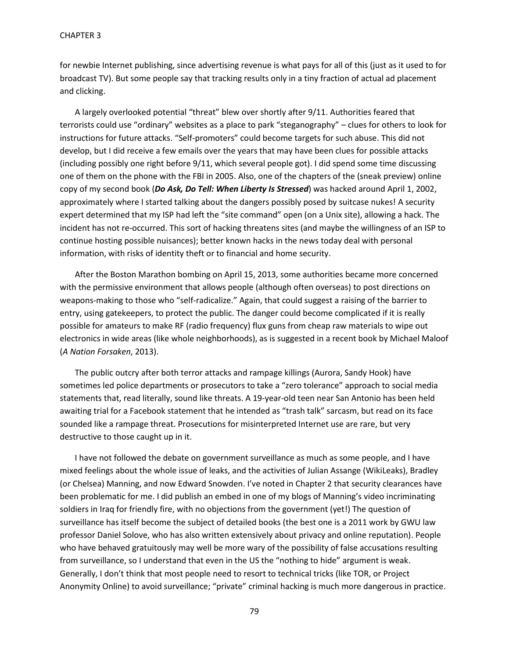for newbie Internet publishing, since advertising revenue is what pays for all of this (just as it used to for broadcast TV). But some people say that tracking results only in a tiny fraction of actual ad placement and clicking.

A largely overlooked potential "threat" blew over shortly after 9/11. Authorities feared that terrorists could use "ordinary" websites as a place to park "steganography" – clues for others to look for instructions for future attacks. "Self-promoters" could become targets for such abuse. This did not develop, but I did receive a few emails over the years that may have been clues for possible attacks (including possibly one right before 9/11, which several people got). I did spend some time discussing one of them on the phone with the FBI in 2005. Also, one of the chapters of the (sneak preview) online copy of my second book (*Do Ask, Do Tell: When Liberty Is Stressed*) was hacked around April 1, 2002, approximately where I started talking about the dangers possibly posed by suitcase nukes! A security expert determined that my ISP had left the "site command" open (on a Unix site), allowing a hack. The incident has not re-occurred. This sort of hacking threatens sites (and maybe the willingness of an ISP to continue hosting possible nuisances); better known hacks in the news today deal with personal information, with risks of identity theft or to financial and home security.

After the Boston Marathon bombing on April 15, 2013, some authorities became more concerned with the permissive environment that allows people (although often overseas) to post directions on weapons-making to those who "self-radicalize." Again, that could suggest a raising of the barrier to entry, using gatekeepers, to protect the public. The danger could become complicated if it is really possible for amateurs to make RF (radio frequency) flux guns from cheap raw materials to wipe out electronics in wide areas (like whole neighborhoods), as is suggested in a recent book by Michael Maloof (*A Nation Forsaken*, 2013).

The public outcry after both terror attacks and rampage killings (Aurora, Sandy Hook) have sometimes led police departments or prosecutors to take a "zero tolerance" approach to social media statements that, read literally, sound like threats. A 19-year-old teen near San Antonio has been held awaiting trial for a Facebook statement that he intended as "trash talk" sarcasm, but read on its face sounded like a rampage threat. Prosecutions for misinterpreted Internet use are rare, but very destructive to those caught up in it.

I have not followed the debate on government surveillance as much as some people, and I have mixed feelings about the whole issue of leaks, and the activities of Julian Assange (WikiLeaks), Bradley (or Chelsea) Manning, and now Edward Snowden. I've noted in Chapter 2 that security clearances have been problematic for me. I did publish an embed in one of my blogs of Manning's video incriminating soldiers in Iraq for friendly fire, with no objections from the government (yet!) The question of surveillance has itself become the subject of detailed books (the best one is a 2011 work by GWU law professor Daniel Solove, who has also written extensively about privacy and online reputation). People who have behaved gratuitously may well be more wary of the possibility of false accusations resulting from surveillance, so I understand that even in the US the "nothing to hide" argument is weak. Generally, I don't think that most people need to resort to technical tricks (like TOR, or Project Anonymity Online) to avoid surveillance; "private" criminal hacking is much more dangerous in practice.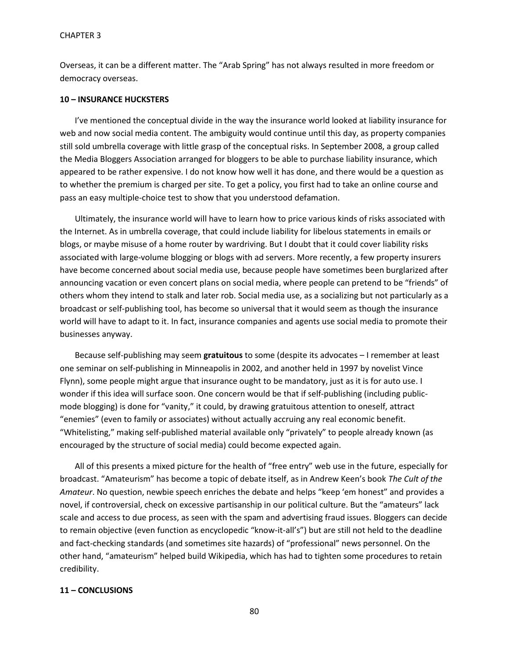Overseas, it can be a different matter. The "Arab Spring" has not always resulted in more freedom or democracy overseas.

## **10 – INSURANCE HUCKSTERS**

I've mentioned the conceptual divide in the way the insurance world looked at liability insurance for web and now social media content. The ambiguity would continue until this day, as property companies still sold umbrella coverage with little grasp of the conceptual risks. In September 2008, a group called the Media Bloggers Association arranged for bloggers to be able to purchase liability insurance, which appeared to be rather expensive. I do not know how well it has done, and there would be a question as to whether the premium is charged per site. To get a policy, you first had to take an online course and pass an easy multiple-choice test to show that you understood defamation.

Ultimately, the insurance world will have to learn how to price various kinds of risks associated with the Internet. As in umbrella coverage, that could include liability for libelous statements in emails or blogs, or maybe misuse of a home router by wardriving. But I doubt that it could cover liability risks associated with large-volume blogging or blogs with ad servers. More recently, a few property insurers have become concerned about social media use, because people have sometimes been burglarized after announcing vacation or even concert plans on social media, where people can pretend to be "friends" of others whom they intend to stalk and later rob. Social media use, as a socializing but not particularly as a broadcast or self-publishing tool, has become so universal that it would seem as though the insurance world will have to adapt to it. In fact, insurance companies and agents use social media to promote their businesses anyway.

Because self-publishing may seem **gratuitous** to some (despite its advocates – I remember at least one seminar on self-publishing in Minneapolis in 2002, and another held in 1997 by novelist Vince Flynn), some people might argue that insurance ought to be mandatory, just as it is for auto use. I wonder if this idea will surface soon. One concern would be that if self-publishing (including publicmode blogging) is done for "vanity," it could, by drawing gratuitous attention to oneself, attract "enemies" (even to family or associates) without actually accruing any real economic benefit. "Whitelisting," making self-published material available only "privately" to people already known (as encouraged by the structure of social media) could become expected again.

All of this presents a mixed picture for the health of "free entry" web use in the future, especially for broadcast. "Amateurism" has become a topic of debate itself, as in Andrew Keen's book *The Cult of the Amateur*. No question, newbie speech enriches the debate and helps "keep 'em honest" and provides a novel, if controversial, check on excessive partisanship in our political culture. But the "amateurs" lack scale and access to due process, as seen with the spam and advertising fraud issues. Bloggers can decide to remain objective (even function as encyclopedic "know-it-all's") but are still not held to the deadline and fact-checking standards (and sometimes site hazards) of "professional" news personnel. On the other hand, "amateurism" helped build Wikipedia, which has had to tighten some procedures to retain credibility.

## **11 – CONCLUSIONS**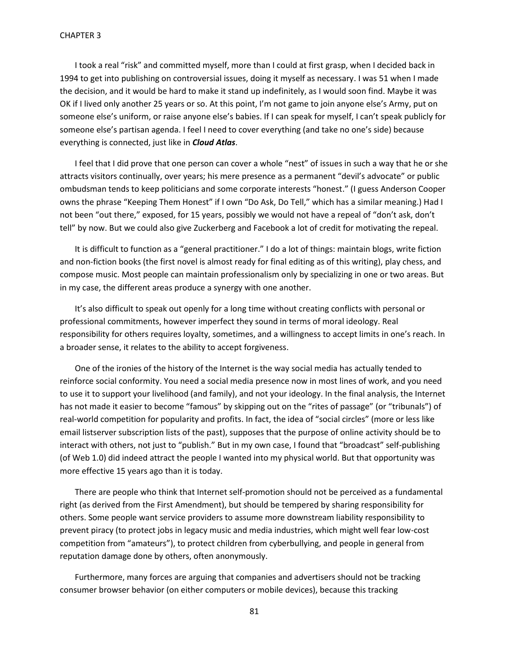I took a real "risk" and committed myself, more than I could at first grasp, when I decided back in 1994 to get into publishing on controversial issues, doing it myself as necessary. I was 51 when I made the decision, and it would be hard to make it stand up indefinitely, as I would soon find. Maybe it was OK if I lived only another 25 years or so. At this point, I'm not game to join anyone else's Army, put on someone else's uniform, or raise anyone else's babies. If I can speak for myself, I can't speak publicly for someone else's partisan agenda. I feel I need to cover everything (and take no one's side) because everything is connected, just like in *Cloud Atlas*.

I feel that I did prove that one person can cover a whole "nest" of issues in such a way that he or she attracts visitors continually, over years; his mere presence as a permanent "devil's advocate" or public ombudsman tends to keep politicians and some corporate interests "honest." (I guess Anderson Cooper owns the phrase "Keeping Them Honest" if I own "Do Ask, Do Tell," which has a similar meaning.) Had I not been "out there," exposed, for 15 years, possibly we would not have a repeal of "don't ask, don't tell" by now. But we could also give Zuckerberg and Facebook a lot of credit for motivating the repeal.

It is difficult to function as a "general practitioner." I do a lot of things: maintain blogs, write fiction and non-fiction books (the first novel is almost ready for final editing as of this writing), play chess, and compose music. Most people can maintain professionalism only by specializing in one or two areas. But in my case, the different areas produce a synergy with one another.

It's also difficult to speak out openly for a long time without creating conflicts with personal or professional commitments, however imperfect they sound in terms of moral ideology. Real responsibility for others requires loyalty, sometimes, and a willingness to accept limits in one's reach. In a broader sense, it relates to the ability to accept forgiveness.

One of the ironies of the history of the Internet is the way social media has actually tended to reinforce social conformity. You need a social media presence now in most lines of work, and you need to use it to support your livelihood (and family), and not your ideology. In the final analysis, the Internet has not made it easier to become "famous" by skipping out on the "rites of passage" (or "tribunals") of real-world competition for popularity and profits. In fact, the idea of "social circles" (more or less like email listserver subscription lists of the past), supposes that the purpose of online activity should be to interact with others, not just to "publish." But in my own case, I found that "broadcast" self-publishing (of Web 1.0) did indeed attract the people I wanted into my physical world. But that opportunity was more effective 15 years ago than it is today.

There are people who think that Internet self-promotion should not be perceived as a fundamental right (as derived from the First Amendment), but should be tempered by sharing responsibility for others. Some people want service providers to assume more downstream liability responsibility to prevent piracy (to protect jobs in legacy music and media industries, which might well fear low-cost competition from "amateurs"), to protect children from cyberbullying, and people in general from reputation damage done by others, often anonymously.

Furthermore, many forces are arguing that companies and advertisers should not be tracking consumer browser behavior (on either computers or mobile devices), because this tracking